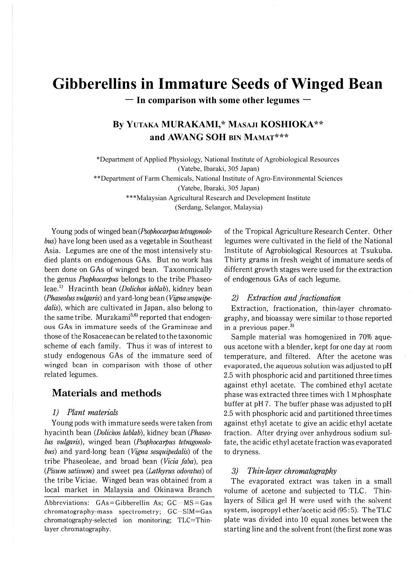# **Gibberellins in Immature Seeds of Winged Bean**

ー **In comparison with some other legumes** ー

## **By YUTAKA MURAKAMI,\* MASAJI KOSHIOKA\*\* and AWANG SOH BIN MAMAT\*\*\***

\*Department of Applied Physiology, National Institute of Agrobiological Resources (Yatebe, Ibaraki, 305 Japan)

\*\*Department of Farm Chemicals, National Institute of Agro-Environmental Sciences

(Yatebe, Ibaraki, 305 Japan)

\*\*\*Malaysian Agricultural Research and Development Institute

(Serdang, Selangor, Malaysia)

Young pods of winged bean (Psophocarpus tetragonolo*bus)* have long been used as a vegetable in Southeast Asia. Legumes are one of the most intensively studied plants on endogenous GAs. But no work has been done on GAs of winged bean. Taxonomically the genus *Psophocarpus* belongs to the tribe Phaseoleae.<sup>1)</sup> Hyacinth bean (Dolichos lablab), kidney bean *(Phaseolus vulgaris)* and yard-long bean ( *Vigna sesquipe*dalis), which are cultivated in Japan, also belong to the same tribe. Murakami<sup>5,6)</sup> reported that endogenous GAs in immature seeds of the Gramineae and those of the Rosaceae can be related to the taxonomic scheme of each family. Thus it was of interest to study endogenous GAs of the immature seed of winged bean in comparison with those of other related legumes.

## **Materials and methods**

#### *1) Plant materials*

Young pods with immature seeds were taken from hyacinth bean *(Dolichos lab/ab),* kidney bean *(Phaseolus vulgaris),* winged bean *(Psophocarpus tetragonolobus)* and yard-long bean *(Vigna sesquipedalis)* of the tribe Phaseoleae, and broad bean *(Vicia faba),* pea *(Pisum sativum)* and sweet pea *(lathyru.s odoratus)* of the tribe Viciae. Winged bean was obtained from a local market in Malaysia and Okinawa Branch

of the Tropical Agriculture Research Center. Other legumes were cultivated in the field of the National Institute of Agrobiological Resources at Tsukuba. Thirty grams in fresh weight of immature seeds of different growth stages were used for the extraction of endogenous GAs of each legume.

#### *2) Extraction and fractionation*

Extraction, fractionation, thin-layer chromatography, and bioassay were similar to those reported in a previous paper.<sup>3)</sup>

Sample material was homogenized in 70% aqueous acetone with a blender, kept for one day at room temperature, and filtered. After the acetone was evaporated, the aqueous solution was adjusted to pH 2.5 with phosphoric acid and partitioned three times against ethyl acetate. The combined ethyl acetate phase was extracted three times with 1 M phosphate buffer at pH 7. The buffer phase was adjusted to pH 2.5 with phosphoric acid and partitioned three times against ethyl acetate to give an acidic ethyl acetate fraction. After drying over anhydrous sodium sulfate, the acidic ethyl acetate fraction was evaporated to dryness.

#### *3) Thin-layer chromatography*

The evaporated extract was taken in a small volume of acetone and subjected to TLC. Thinlayers of Silica gel H were used with the solvent system, isopropyl ether/acetic acid (95 :5). The TLC plate was divided into 10 equal zones between the starting line and the solvent front (the first zone was

Abbreviations:  $GAs = Gibberellin As;  $GC - MS = Gas$$ chromatography-mass spectrometry; GC-SIM=Gas chromatography-selected ion monitoring; TLC= Thinlayer chromatography.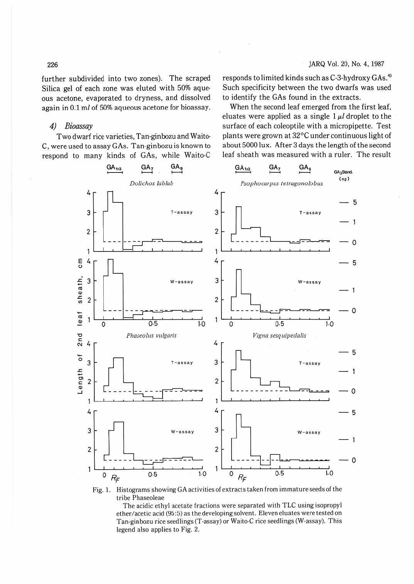further subdivided into two zones). The scraped Silica gel of each zone was eluted with 50% aqueous acetone, evaporated to dryness, and dissolved again in 0.1 ml of 50% aqueous acetone for bioassay. responds to limited kinds such as C-3-hydroxy GAs.<sup>4)</sup> Such specificity between the two dwarfs was used to identify the GAs found in the extracts.

## 4) Bioassay

Two dwarf rice varieties, Tan-ginbozu and Waito-C, were used to assay GAs. Tan-ginbozu is known to respond to many kinds of GAs, while Waito-C

When the second leaf emerged from the first leaf, eluates were applied as a single  $1 \mu l$  droplet to the surface of each coleoptile with a micropipette. Test plants were grown at 32°C under continuous light of about 5000 lux. After 3 days the length of the second leaf sheath was measured with a ruler. The result



Fig. 1. Histograms showing GA activities of extracts taken from immature seeds of the tribe Phaseoleae

The acidic ethyl acetate fractions were separated with TLC using isopropyl ether/acetic acid (95:5) as the developing solvent. Eleven eluates were tested on Tan-ginbozu rice seedlings (T-assay) or Waito-C rice seedlings (W-assay). This legend also applies to Fig. 2.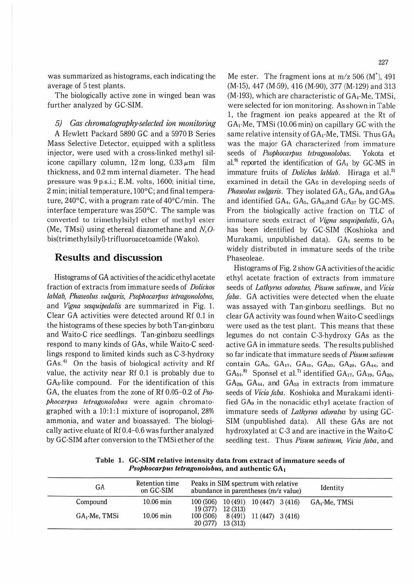was summarized as histograms, each indicating the average of 5 test plants.

The biologically active zone in winged bean was further analyzed by GC-SIM.

*5) Gas chromatography-selected ion monitoring*  A Hewlett Packard 5890 GC and a 5970 B Series Mass Selective Detector, equipped with a splitless injector, were used with a cross-linked methyl silicone capillary column, 12m long, *0.33µm* film thickness, and 0.2 mm internal diameter. The head pressure was 9 p.s.i.; E.M. volts, 1600; initial time, 2 min; initial temperature, 100°C; and final temperature, 240°C. with a program rate of 40°C/min. The interface temperature was 250°C. The sample was converted to trimethylsilyl ether of methyl ester (Me, TMsi) using ethereal diazomethane and *N,* 0 bis(trimethylsilyl)·trifluoroacetoamide (Wako).

## **Results and discussion**

Histograms of GA activities of the acidic ethyl acetate fraction of extracts from immature seeds of *Dotichos lab/ab, Phaseolus vutgaris, Psophocarpus tetragonolobus,*  and *Vigna sesquipedalis* are summarized in Fig. 1. Clear GA activities were detected around Rf 0.1 in the histograms of these species by both Tan-ginbozu and Waito-C rice seedlings. Tan-ginbozu seedlings respond to many kinds of GAs, while Waito-C seedlings respond to limited kinds such as C-3-hydroxy GAs.<sup>4</sup> On the basis of biological activity and Rf value, the activity near Rf 0.1 is probably due to GAa-like compound. For the identification of this GA, the eluates from the zone of Rf 0.05-0.2 of *Psophocarpus tetragonolobus* were again chromatographed with a  $10:1:1$  mixture of isopropanol,  $28\%$ ammonia, and water and bioassayed. The biologically active eluate of Rf 0.4-0.6 was further analyzed by GC-SIM after conversion to the TMSi ether of the

Me ester. The fragment ions at  $m/z$  506 (M<sup>t</sup>), 491 (M-15), 447 (M-59), 416 (M-90), 377 (M-129) and 313 (M-193), which are characteristic of GA1·Me, TMSi, were selected for ion monitoring. As shown in Table 1, the fragment ion peaks appeared at the Rt of GA,-Me, TMSi (10.06 min) on capillary GC with the same relative intensity of  $GA_1$ -Me, TMSi. Thus  $GA_1$ was the major GA characterized from immature seeds of *Psophocarpus tetragonolobus.* Yokota et al.<sup>99</sup> reported the identification of  $GA_1$  by  $GC\text{-}MS$  in immature fruits of *Dolichos lablab*. Hiraga et al.<sup>2)</sup> examined in detail the GAs in developing seeds of *Phaseolus vulgaris.* They isolated GA<sub>1</sub>, GA<sub>s</sub>, and GA<sub>38</sub> and identified  $GA_4$ ,  $GA_5$ ,  $GA_6$ , and  $GA_{37}$  by  $GC$ -MS. From the biologically active fraction on TLC of immature seeds extract of *Vigna sesquipedalis,* GA, has been identified by GC-SIM (Koshioka and Murakami, unpublished data). GA, seems to be widely distributed in immature seeds of the tribe Phaseoleae.

Histograms of Fig. 2 show GA activities of the acidic ethyl acetate fraction of extracts from immature seeds of *Lathyrus odoratus, Pisum sativum*, and Vicia *faba.* GA activities were detected when the eluate was assayed with Tan-ginbozu seedlings. But no clear GA activity was found when Waito-C seedlings were used as the test plant. This means that these legumes do not contain C-3-hydroxy GAs as the active GA in immature seeds. The results published so far indicate that immature seeds of *Pisumsativum*  contain GA9, GA $_{17}$ , GA $_{19}$ , GA $_{20}$ , GA $_{29}$ , GA $_{44}$ , and  $GA_{51}$ .<sup>8)</sup> Sponsel et al.<sup>7)</sup> identified  $GA_{17}$ ,  $GA_{19}$ ,  $GA_{20}$ ,  $GA<sub>29</sub>$ ,  $GA<sub>44</sub>$ , and  $GA<sub>53</sub>$  in extracts from immature seeds of *Vicia faba.* Koshioka and Murakami identified GA9 in the nonacidic ethyl acetate fraction of immature seeds of *Lathyrus odoratus* by using GC· SIM (unpublished data). All these GAs are not hydroxylated at C-3 and are inactive in the Waito-C seedling test. Thus *Pisum sativum, Vicia faba,* and

**Table 1. GC-SIM relative intensity data from extract of immature seeds of**  *Psophocarpus tetragonolobus, and authentic GA<sub>1</sub>* 

| GA<br>Compound            | Retention time<br>on GC-SIM<br>$10.06$ min | Peaks in SIM spectrum with relative<br>abundance in parentheses (m/z value) |                                                |                          |  | Identity                  |
|---------------------------|--------------------------------------------|-----------------------------------------------------------------------------|------------------------------------------------|--------------------------|--|---------------------------|
|                           |                                            | 100 (506)                                                                   | 10 (491) 10 (447) 3 (416)<br>19 (377) 12 (313) |                          |  | GA <sub>1</sub> -Me, TMSi |
| GA <sub>1</sub> -Me, TMSi | $10.06 \text{ min}$                        | 100 (506)                                                                   | 20 (377) 13 (313)                              | 8 (491) 11 (447) 3 (416) |  |                           |